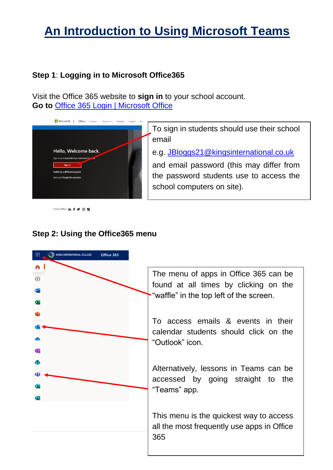# **An Introduction to Using Microsoft Teams**

### **Step 1**: **Logging in to Microsoft Office365**

Visit the Office 365 website to **sign in** to your school account. **Go to** [Office 365 Login | Microsoft Office](https://www.office.com/)



Follow Office in f 9 0 2

To sign in students should use their school email

e.g. [JBloggs21@kingsinternational.co.uk](mailto:JBloggs21@kingsinternational.co.uk)

and email password (this may differ from the password students use to access the school computers on site).

## **Step 2: Using the Office365 menu**



The menu of apps in Office 365 can be found at all times by clicking on the "waffle" in the top left of the screen.

To access emails & events in their calendar students should click on the "Outlook" icon.

Alternatively, lessons in Teams can be accessed by going straight to the "Teams" app.

This menu is the quickest way to access all the most frequently use apps in Office 365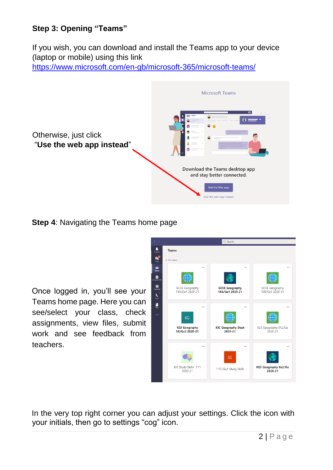# **Step 3: Opening "Teams"**

If you wish, you can download and install the Teams app to your device (laptop or mobile) using this link

<https://www.microsoft.com/en-gb/microsoft-365/microsoft-teams/>



**Step 4**: Navigating the Teams home page

Once logged in, you'll see your Teams home page. Here you can see/select your class, check assignments, view files, submit work and see feedback from teachers.



In the very top right corner you can adjust your settings. Click the icon with your initials, then go to settings "cog" icon.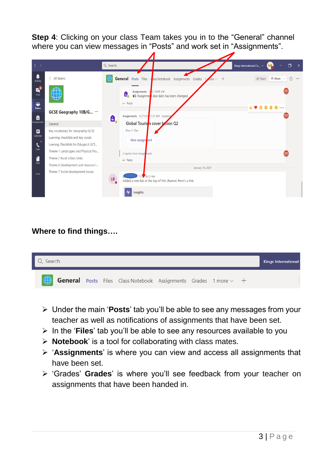**Step 4:** Clicking on your class Team takes you in to the "General" channel where you can view messages in "Posts" and work set in "Assignments".

| $\langle \ \rangle$                  |                                                                                                               | Q Search        |                                                                                                |                                                                                |                      | 门<br>Kings International Co v<br>$\mathsf{X}$<br>M <sub>B</sub> |
|--------------------------------------|---------------------------------------------------------------------------------------------------------------|-----------------|------------------------------------------------------------------------------------------------|--------------------------------------------------------------------------------|----------------------|-----------------------------------------------------------------|
| Ļ<br>Activity                        | $\langle$ All teams                                                                                           |                 |                                                                                                | <b>General</b> Posts Files Cass Notebook Assignments Grades                    | $+$<br>$0r$ e $\vee$ | $\circ$<br>$\cdots$                                             |
| $\mathbf{B}^2$<br>Chat<br>÷<br>Teams | GCSE Geography 10B/G                                                                                          |                 | Assignments $1/2$ 10:09 AM<br>ê,<br>Assignmer due date has been changed.<br>$\leftarrow$ Reply |                                                                                |                      | Q<br>÷                                                          |
| Ô<br><b>Assignments</b>              | General                                                                                                       | Â,              | Assignments 12/11/20 1:37 AM Updated                                                           | Global Tourisin cover Sson Q2                                                  |                      |                                                                 |
| ₿<br>Calendar<br>$\blacklozenge$     | Key vocabulary for Geography GCSE<br>Learning checklists and key vocab<br>Learnng Checklists for Eduqas A GCS |                 | Due 11 Dec<br>View assignrent                                                                  |                                                                                |                      |                                                                 |
| Calls<br>1<br><b>Files</b>           | Theme 1 Landscapes and Physical Pro<br>Theme 2 Rural Urban Links<br>Theme 6 Development and resource i        |                 | 2 replies from Assign nents<br>$\leftarrow$ Reply                                              |                                                                                |                      |                                                                 |
| $\cdots$                             | Theme 7 Social development Issues                                                                             | ${\sf LB}$<br>٠ | 1/1. 10:13 AM                                                                                  | January 13, 2021<br>Added a new tab at the top of this channel. Here's a link. |                      |                                                                 |
|                                      |                                                                                                               |                 | Insights                                                                                       |                                                                                |                      |                                                                 |

#### **Where to find things….**



- Under the main '**Posts**' tab you'll be able to see any messages from your teacher as well as notifications of assignments that have been set.
- In the '**Files**' tab you'll be able to see any resources available to you
- **Notebook**' is a tool for collaborating with class mates.
- '**Assignments**' is where you can view and access all assignments that have been set.
- 'Grades' **Grades**' is where you'll see feedback from your teacher on assignments that have been handed in.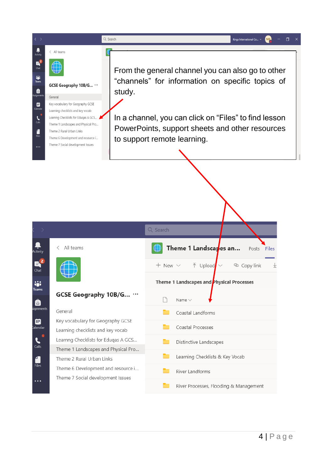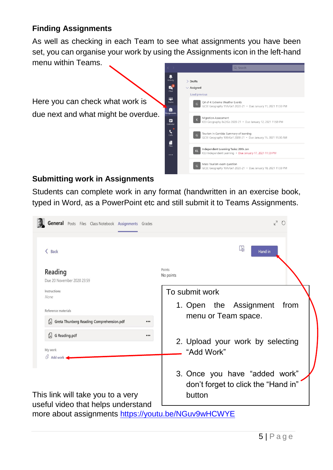## **Finding Assignments**

As well as checking in each Team to see what assignments you have been set, you can organise your work by using the Assignments icon in the left-hand menu within Teams.

Here you can check what work is due next and what might be overdue.



#### **Submitting work in Assignments**

Students can complete work in any format (handwritten in an exercise book, typed in Word, as a PowerPoint etc and still submit it to Teams Assignments.

| General Posts Files Class Notebook Assignments Grades                                     | $K^7$ 0                                                                        |  |  |  |
|-------------------------------------------------------------------------------------------|--------------------------------------------------------------------------------|--|--|--|
| Back                                                                                      | Labi<br>Hand in                                                                |  |  |  |
| Reading<br>Due 20 November 2020 23:59                                                     | Points<br>No points                                                            |  |  |  |
| Instructions<br><b>None</b>                                                               | To submit work                                                                 |  |  |  |
| Reference materials<br>Greta Thunberg Reading Comprehension.pdf<br>                       | 1. Open the Assignment<br>from<br>menu or Team space.                          |  |  |  |
| G Reading.pdf<br>$\bullet\bullet\bullet$<br>My work                                       | 2. Upload your work by selecting<br>"Add Work"                                 |  |  |  |
| $\mathscr Q$ Add work<br>This link will take you to a very                                | 3. Once you have "added work"<br>don't forget to click the "Hand in"<br>button |  |  |  |
| useful video that helps understand<br>more about assignments https://youtu.be/NGuv9wHCWYE |                                                                                |  |  |  |